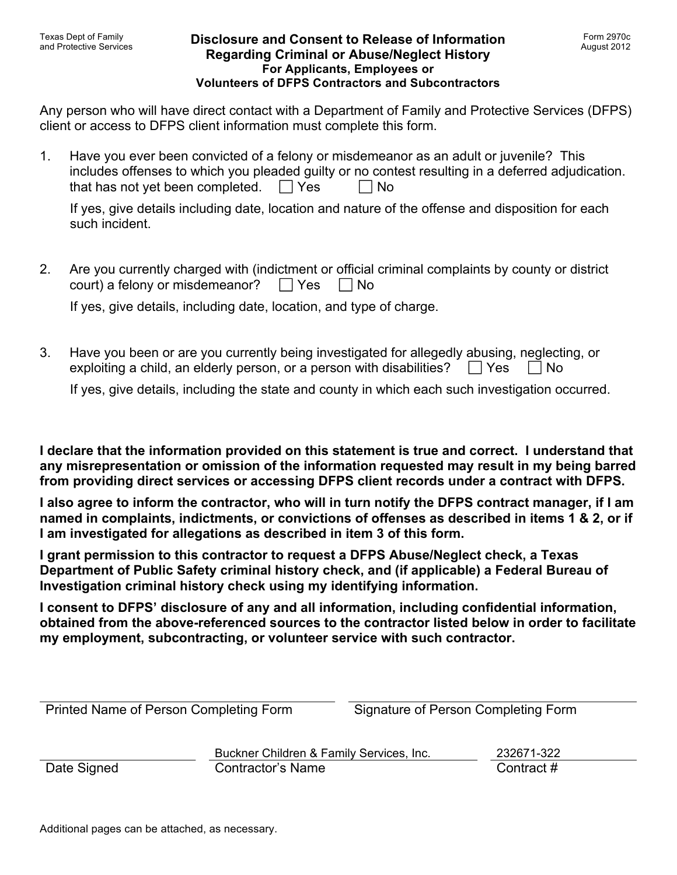### **Disclosure and Consent to Release of Information Regarding Criminal or Abuse/Neglect History For Applicants, Employees or Volunteers of DFPS Contractors and Subcontractors**

Any person who will have direct contact with a Department of Family and Protective Services (DFPS) client or access to DFPS client information must complete this form.

1. Have you ever been convicted of a felony or misdemeanor as an adult or juvenile? This includes offenses to which you pleaded guilty or no contest resulting in a deferred adjudication. that has not yet been completed.  $\Box$  Yes  $\Box$  No

If yes, give details including date, location and nature of the offense and disposition for each such incident.

2. Are you currently charged with (indictment or official criminal complaints by county or district court) a felony or misdemeanor?  $\Box$  Yes  $\Box$  No

If yes, give details, including date, location, and type of charge.

3. Have you been or are you currently being investigated for allegedly abusing, neglecting, or exploiting a child, an elderly person, or a person with disabilities?  $\Box$  Yes  $\Box$  No

If yes, give details, including the state and county in which each such investigation occurred.

**I declare that the information provided on this statement is true and correct. I understand that any misrepresentation or omission of the information requested may result in my being barred from providing direct services or accessing DFPS client records under a contract with DFPS.** 

**I also agree to inform the contractor, who will in turn notify the DFPS contract manager, if I am named in complaints, indictments, or convictions of offenses as described in items 1 & 2, or if I am investigated for allegations as described in item 3 of this form.** 

**I grant permission to this contractor to request a DFPS Abuse/Neglect check, a Texas Department of Public Safety criminal history check, and (if applicable) a Federal Bureau of Investigation criminal history check using my identifying information.** 

**I consent to DFPS' disclosure of any and all information, including confidential information, obtained from the above-referenced sources to the contractor listed below in order to facilitate my employment, subcontracting, or volunteer service with such contractor.** 

| Printed Name of Person Completing Form |                                          | Signature of Person Completing Form |            |
|----------------------------------------|------------------------------------------|-------------------------------------|------------|
|                                        | Buckner Children & Family Services, Inc. |                                     | 232671-322 |
| Date Signed                            | <b>Contractor's Name</b>                 |                                     | Contract#  |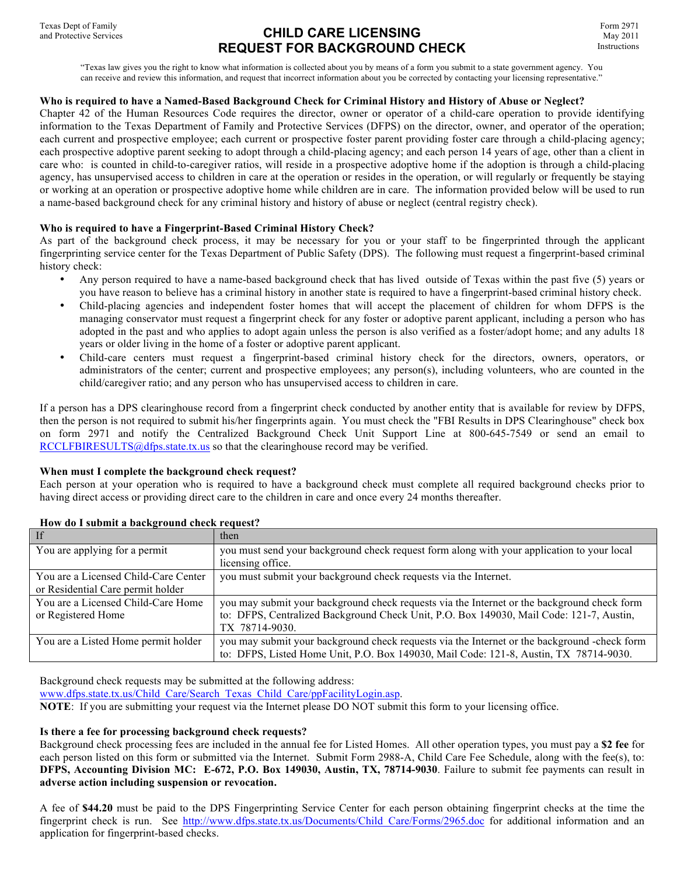# **CHILD CARE LICENSING REQUEST FOR BACKGROUND CHECK**

Form 2971 May 2011 Instructions

"Texas law gives you the right to know what information is collected about you by means of a form you submit to a state government agency. You can receive and review this information, and request that incorrect information about you be corrected by contacting your licensing representative."

#### **Who is required to have a Named-Based Background Check for Criminal History and History of Abuse or Neglect?**

Chapter 42 of the Human Resources Code requires the director, owner or operator of a child-care operation to provide identifying information to the Texas Department of Family and Protective Services (DFPS) on the director, owner, and operator of the operation; each current and prospective employee; each current or prospective foster parent providing foster care through a child-placing agency; each prospective adoptive parent seeking to adopt through a child-placing agency; and each person 14 years of age, other than a client in care who: is counted in child-to-caregiver ratios, will reside in a prospective adoptive home if the adoption is through a child-placing agency, has unsupervised access to children in care at the operation or resides in the operation, or will regularly or frequently be staying or working at an operation or prospective adoptive home while children are in care. The information provided below will be used to run a name-based background check for any criminal history and history of abuse or neglect (central registry check).

#### **Who is required to have a Fingerprint-Based Criminal History Check?**

As part of the background check process, it may be necessary for you or your staff to be fingerprinted through the applicant fingerprinting service center for the Texas Department of Public Safety (DPS). The following must request a fingerprint-based criminal history check:

- Any person required to have a name-based background check that has lived outside of Texas within the past five (5) years or you have reason to believe has a criminal history in another state is required to have a fingerprint-based criminal history check.
- Child-placing agencies and independent foster homes that will accept the placement of children for whom DFPS is the managing conservator must request a fingerprint check for any foster or adoptive parent applicant, including a person who has adopted in the past and who applies to adopt again unless the person is also verified as a foster/adopt home; and any adults 18 years or older living in the home of a foster or adoptive parent applicant.
- Child-care centers must request a fingerprint-based criminal history check for the directors, owners, operators, or administrators of the center; current and prospective employees; any person(s), including volunteers, who are counted in the child/caregiver ratio; and any person who has unsupervised access to children in care.

If a person has a DPS clearinghouse record from a fingerprint check conducted by another entity that is available for review by DFPS, then the person is not required to submit his/her fingerprints again. You must check the "FBI Results in DPS Clearinghouse" check box on form 2971 and notify the Centralized Background Check Unit Support Line at 800-645-7549 or send an email to RCCLFBIRESULTS@dfps.state.tx.us so that the clearinghouse record may be verified.

#### **When must I complete the background check request?**

Each person at your operation who is required to have a background check must complete all required background checks prior to having direct access or providing direct care to the children in care and once every 24 months thereafter.

| If                                   | then                                                                                         |
|--------------------------------------|----------------------------------------------------------------------------------------------|
| You are applying for a permit        | you must send your background check request form along with your application to your local   |
|                                      | licensing office.                                                                            |
| You are a Licensed Child-Care Center | you must submit your background check requests via the Internet.                             |
| or Residential Care permit holder    |                                                                                              |
| You are a Licensed Child-Care Home   | you may submit your background check requests via the Internet or the background check form  |
| or Registered Home                   | to: DFPS, Centralized Background Check Unit, P.O. Box 149030, Mail Code: 121-7, Austin,      |
|                                      | TX 78714-9030.                                                                               |
| You are a Listed Home permit holder  | you may submit your background check requests via the Internet or the background -check form |
|                                      | to: DFPS, Listed Home Unit, P.O. Box 149030, Mail Code: 121-8, Austin, TX 78714-9030.        |

#### **How do I submit a background check request?**

Background check requests may be submitted at the following address:

www.dfps.state.tx.us/Child\_Care/Search\_Texas\_Child\_Care/ppFacilityLogin.asp.

**NOTE:** If you are submitting your request via the Internet please DO NOT submit this form to your licensing office.

#### **Is there a fee for processing background check requests?**

Background check processing fees are included in the annual fee for Listed Homes. All other operation types, you must pay a **\$2 fee** for each person listed on this form or submitted via the Internet. Submit Form 2988-A, Child Care Fee Schedule, along with the fee(s), to: **DFPS, Accounting Division MC: E-672, P.O. Box 149030, Austin, TX, 78714-9030**. Failure to submit fee payments can result in **adverse action including suspension or revocation.**

A fee of **\$44.20** must be paid to the DPS Fingerprinting Service Center for each person obtaining fingerprint checks at the time the fingerprint check is run. See http://www.dfps.state.tx.us/Documents/Child Care/Forms/2965.doc for additional information and an application for fingerprint-based checks.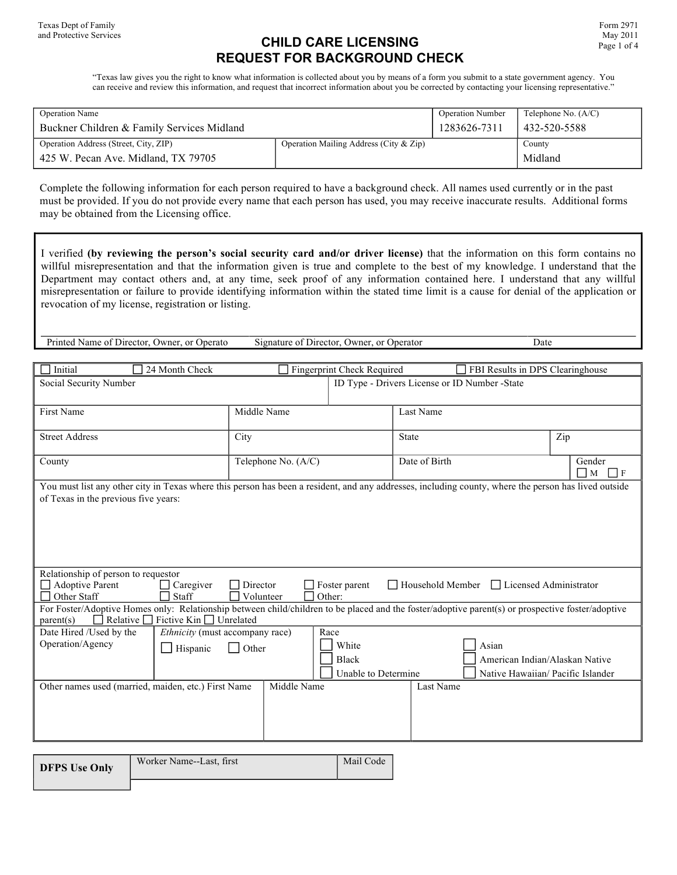# **CHILD CARE LICENSING REQUEST FOR BACKGROUND CHECK**

"Texas law gives you the right to know what information is collected about you by means of a form you submit to a state government agency. You can receive and review this information, and request that incorrect information about you be corrected by contacting your licensing representative."

| <b>Operation Name</b>                      |                                        | <b>Operation Number</b> | Telephone No. $(A/C)$ |
|--------------------------------------------|----------------------------------------|-------------------------|-----------------------|
| Buckner Children & Family Services Midland | 1283626-7311                           | 432-520-5588            |                       |
| Operation Address (Street, City, ZIP)      | Operation Mailing Address (City & Zip) |                         | County                |
| 425 W. Pecan Ave. Midland, TX 79705        |                                        |                         | Midland               |

Complete the following information for each person required to have a background check. All names used currently or in the past must be provided. If you do not provide every name that each person has used, you may receive inaccurate results. Additional forms may be obtained from the Licensing office.

I verified **(by reviewing the person's social security card and/or driver license)** that the information on this form contains no willful misrepresentation and that the information given is true and complete to the best of my knowledge. I understand that the Department may contact others and, at any time, seek proof of any information contained here. I understand that any willful misrepresentation or failure to provide identifying information within the stated time limit is a cause for denial of the application or revocation of my license, registration or listing.

Printed Name of Director, Owner, or Operato Signature of Director, Owner, or Operator Date

| Initial<br>24 Month Check                                                                                                                                                                                                                               |                       | Fingerprint Check Required                           |                  | FBI Results in DPS Clearinghouse                                             |  |
|---------------------------------------------------------------------------------------------------------------------------------------------------------------------------------------------------------------------------------------------------------|-----------------------|------------------------------------------------------|------------------|------------------------------------------------------------------------------|--|
| ID Type - Drivers License or ID Number -State<br>Social Security Number                                                                                                                                                                                 |                       |                                                      |                  |                                                                              |  |
| First Name                                                                                                                                                                                                                                              | Middle Name           |                                                      | Last Name        |                                                                              |  |
| <b>Street Address</b>                                                                                                                                                                                                                                   | City                  |                                                      | <b>State</b>     | Zip                                                                          |  |
| County                                                                                                                                                                                                                                                  | Telephone No. (A/C)   |                                                      | Date of Birth    | Gender<br>$\Box$ M<br>$\Box$ F                                               |  |
| You must list any other city in Texas where this person has been a resident, and any addresses, including county, where the person has lived outside<br>of Texas in the previous five years:                                                            |                       |                                                      |                  |                                                                              |  |
| Relationship of person to requestor<br><b>Adoptive Parent</b><br>Caregiver<br>Staff<br>Other Staff<br>For Foster/Adoptive Homes only: Relationship between child/children to be placed and the foster/adoptive parent(s) or prospective foster/adoptive | Director<br>Volunteer | Foster parent<br>Other:                              | Household Member | □ Licensed Administrator                                                     |  |
| Fictive Kin $\Box$ Unrelated<br>Relative $\Box$<br>parent(s)<br>Date Hired /Used by the<br>Ethnicity (must accompany race)<br>Operation/Agency<br>$\Box$ Hispanic<br>Other names used (married, maiden, etc.) First Name                                | Other<br>Middle Name  | Race<br>White<br><b>Black</b><br>Unable to Determine | Last Name        | Asian<br>American Indian/Alaskan Native<br>Native Hawaiian/ Pacific Islander |  |
|                                                                                                                                                                                                                                                         |                       |                                                      |                  |                                                                              |  |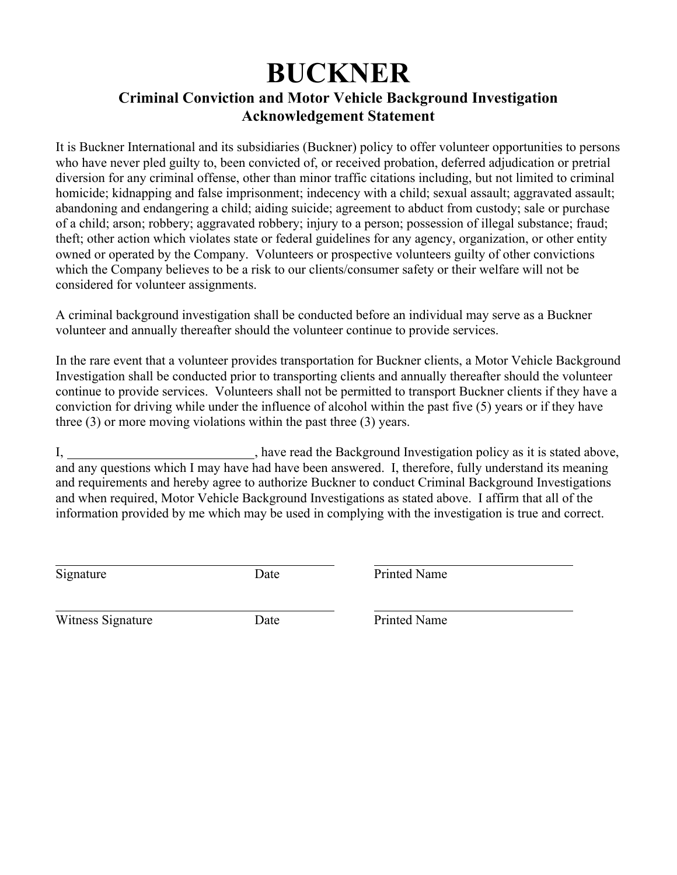# **BUCKNER**

# **Criminal Conviction and Motor Vehicle Background Investigation Acknowledgement Statement**

It is Buckner International and its subsidiaries (Buckner) policy to offer volunteer opportunities to persons who have never pled guilty to, been convicted of, or received probation, deferred adjudication or pretrial diversion for any criminal offense, other than minor traffic citations including, but not limited to criminal homicide; kidnapping and false imprisonment; indecency with a child; sexual assault; aggravated assault; abandoning and endangering a child; aiding suicide; agreement to abduct from custody; sale or purchase of a child; arson; robbery; aggravated robbery; injury to a person; possession of illegal substance; fraud; theft; other action which violates state or federal guidelines for any agency, organization, or other entity owned or operated by the Company. Volunteers or prospective volunteers guilty of other convictions which the Company believes to be a risk to our clients/consumer safety or their welfare will not be considered for volunteer assignments.

A criminal background investigation shall be conducted before an individual may serve as a Buckner volunteer and annually thereafter should the volunteer continue to provide services.

In the rare event that a volunteer provides transportation for Buckner clients, a Motor Vehicle Background Investigation shall be conducted prior to transporting clients and annually thereafter should the volunteer continue to provide services. Volunteers shall not be permitted to transport Buckner clients if they have a conviction for driving while under the influence of alcohol within the past five (5) years or if they have three (3) or more moving violations within the past three (3) years.

I, have read the Background Investigation policy as it is stated above, and any questions which I may have had have been answered. I, therefore, fully understand its meaning and requirements and hereby agree to authorize Buckner to conduct Criminal Background Investigations and when required, Motor Vehicle Background Investigations as stated above. I affirm that all of the information provided by me which may be used in complying with the investigation is true and correct.

 $\overline{a}$ 

Signature Date Date Printed Name

 $\overline{a}$ Witness Signature Date Printed Name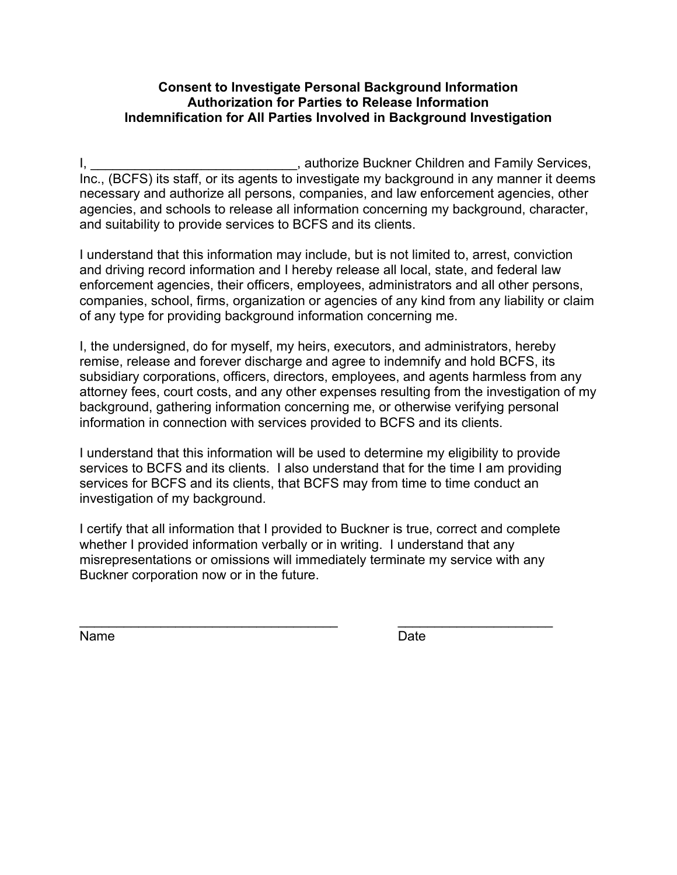# **Consent to Investigate Personal Background Information Authorization for Parties to Release Information Indemnification for All Parties Involved in Background Investigation**

I, \_\_\_\_\_\_\_\_\_\_\_\_\_\_\_\_\_\_\_\_\_\_\_\_\_\_\_\_\_\_\_\_, authorize Buckner Children and Family Services, Inc., (BCFS) its staff, or its agents to investigate my background in any manner it deems necessary and authorize all persons, companies, and law enforcement agencies, other agencies, and schools to release all information concerning my background, character, and suitability to provide services to BCFS and its clients.

I understand that this information may include, but is not limited to, arrest, conviction and driving record information and I hereby release all local, state, and federal law enforcement agencies, their officers, employees, administrators and all other persons, companies, school, firms, organization or agencies of any kind from any liability or claim of any type for providing background information concerning me.

I, the undersigned, do for myself, my heirs, executors, and administrators, hereby remise, release and forever discharge and agree to indemnify and hold BCFS, its subsidiary corporations, officers, directors, employees, and agents harmless from any attorney fees, court costs, and any other expenses resulting from the investigation of my background, gathering information concerning me, or otherwise verifying personal information in connection with services provided to BCFS and its clients.

I understand that this information will be used to determine my eligibility to provide services to BCFS and its clients. I also understand that for the time I am providing services for BCFS and its clients, that BCFS may from time to time conduct an investigation of my background.

I certify that all information that I provided to Buckner is true, correct and complete whether I provided information verbally or in writing. I understand that any misrepresentations or omissions will immediately terminate my service with any Buckner corporation now or in the future.

Name Date **Date** 

 $\overline{\phantom{a}}$  , and the contribution of the contribution of  $\overline{\phantom{a}}$  , and  $\overline{\phantom{a}}$  , and  $\overline{\phantom{a}}$  , and  $\overline{\phantom{a}}$  , and  $\overline{\phantom{a}}$  , and  $\overline{\phantom{a}}$  , and  $\overline{\phantom{a}}$  , and  $\overline{\phantom{a}}$  , and  $\overline{\phantom{a}}$  , and